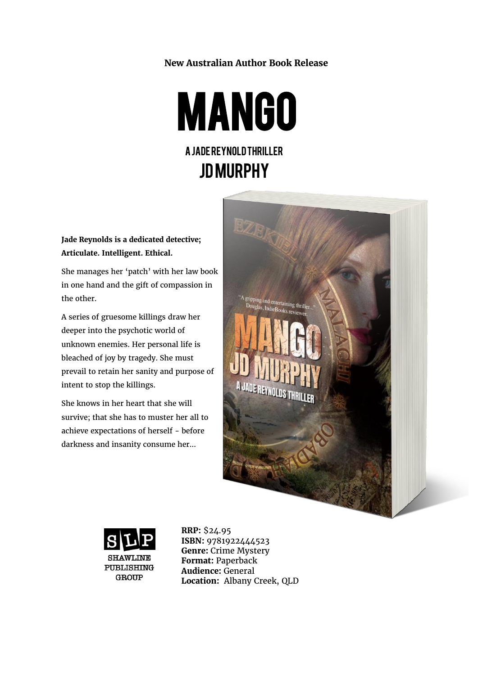### **New Australian Author Book Release**

**MANGO** 

A Jade Reynold Thriller

JD MURPHY

**Jade Reynolds is a dedicated detective; Articulate. Intelligent. Ethical.**

She manages her 'patch' with her law book in one hand and the gift of compassion in the other.

A series of gruesome killings draw her deeper into the psychotic world of unknown enemies. Her personal life is bleached of joy by tragedy. She must prevail to retain her sanity and purpose of intent to stop the killings.

She knows in her heart that she will survive; that she has to muster her all to achieve expectations of herself - before darkness and insanity consume her...





**RRP:** \$24.95 **ISBN:** 9781922444523 **Genre:** Crime Mystery **Format:** Paperback **Audience:** General **Location:** Albany Creek, QLD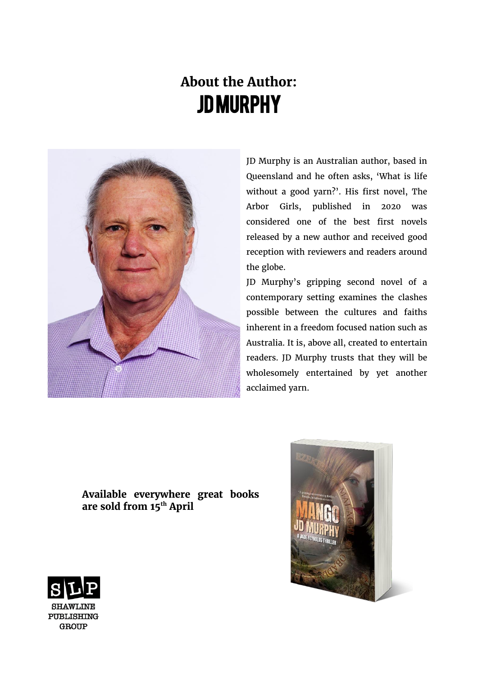# **About the Author:** JD Murphy



JD Murphy is an Australian author, based in Queensland and he often asks, 'What is life without a good yarn?'. His first novel, The Arbor Girls, published in 2020 was considered one of the best first novels released by a new author and received good reception with reviewers and readers around the globe.

JD Murphy's gripping second novel of a contemporary setting examines the clashes possible between the cultures and faiths inherent in a freedom focused nation such as Australia. It is, above all, created to entertain readers. JD Murphy trusts that they will be wholesomely entertained by yet another acclaimed yarn.

## **Available everywhere great books are sold from 15th April**